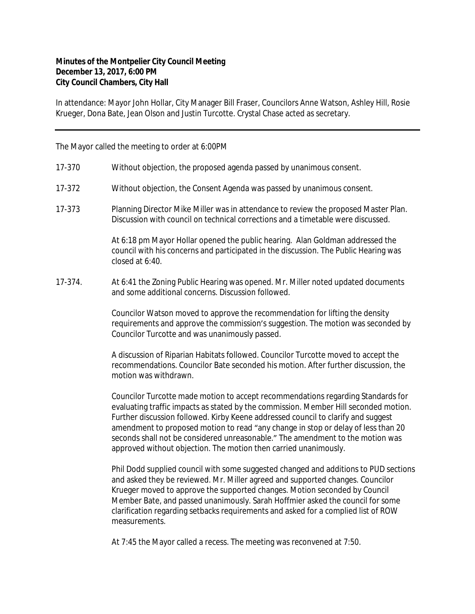## **Minutes of the Montpelier City Council Meeting December 13, 2017, 6:00 PM City Council Chambers, City Hall**

In attendance: Mayor John Hollar, City Manager Bill Fraser, Councilors Anne Watson, Ashley Hill, Rosie Krueger, Dona Bate, Jean Olson and Justin Turcotte. Crystal Chase acted as secretary.

The Mayor called the meeting to order at 6:00PM

- 17-370 Without objection, the proposed agenda passed by unanimous consent.
- 17-372 Without objection, the Consent Agenda was passed by unanimous consent.
- 17-373 Planning Director Mike Miller was in attendance to review the proposed Master Plan. Discussion with council on technical corrections and a timetable were discussed.

At 6:18 pm Mayor Hollar opened the public hearing. Alan Goldman addressed the council with his concerns and participated in the discussion. The Public Hearing was closed at 6:40.

17-374. At 6:41 the Zoning Public Hearing was opened. Mr. Miller noted updated documents and some additional concerns. Discussion followed.

> Councilor Watson moved to approve the recommendation for lifting the density requirements and approve the commission's suggestion. The motion was seconded by Councilor Turcotte and was unanimously passed.

A discussion of Riparian Habitats followed. Councilor Turcotte moved to accept the recommendations. Councilor Bate seconded his motion. After further discussion, the motion was withdrawn.

Councilor Turcotte made motion to accept recommendations regarding Standards for evaluating traffic impacts as stated by the commission. Member Hill seconded motion. Further discussion followed. Kirby Keene addressed council to clarify and suggest amendment to proposed motion to read "any change in stop or delay of less than 20 seconds shall not be considered unreasonable." The amendment to the motion was approved without objection. The motion then carried unanimously.

Phil Dodd supplied council with some suggested changed and additions to PUD sections and asked they be reviewed. Mr. Miller agreed and supported changes. Councilor Krueger moved to approve the supported changes. Motion seconded by Council Member Bate, and passed unanimously. Sarah Hoffmier asked the council for some clarification regarding setbacks requirements and asked for a complied list of ROW measurements.

At 7:45 the Mayor called a recess. The meeting was reconvened at 7:50.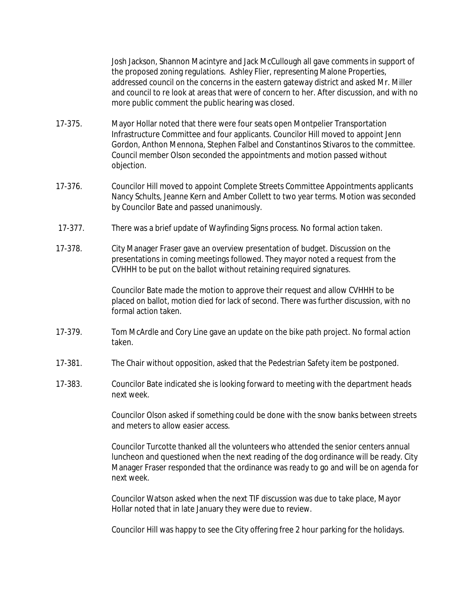Josh Jackson, Shannon Macintyre and Jack McCullough all gave comments in support of the proposed zoning regulations. Ashley Flier, representing Malone Properties, addressed council on the concerns in the eastern gateway district and asked Mr. Miller and council to re look at areas that were of concern to her. After discussion, and with no more public comment the public hearing was closed.

- 17-375. Mayor Hollar noted that there were four seats open Montpelier Transportation Infrastructure Committee and four applicants. Councilor Hill moved to appoint Jenn Gordon, Anthon Mennona, Stephen Falbel and Constantinos Stivaros to the committee. Council member Olson seconded the appointments and motion passed without objection.
- 17-376. Councilor Hill moved to appoint Complete Streets Committee Appointments applicants Nancy Schults, Jeanne Kern and Amber Collett to two year terms. Motion was seconded by Councilor Bate and passed unanimously.
- 17-377. There was a brief update of Wayfinding Signs process. No formal action taken.
- 17-378. City Manager Fraser gave an overview presentation of budget. Discussion on the presentations in coming meetings followed. They mayor noted a request from the CVHHH to be put on the ballot without retaining required signatures.

Councilor Bate made the motion to approve their request and allow CVHHH to be placed on ballot, motion died for lack of second. There was further discussion, with no formal action taken.

- 17-379. Tom McArdle and Cory Line gave an update on the bike path project. No formal action taken.
- 17-381. The Chair without opposition, asked that the Pedestrian Safety item be postponed.
- 17-383. Councilor Bate indicated she is looking forward to meeting with the department heads next week.

Councilor Olson asked if something could be done with the snow banks between streets and meters to allow easier access.

Councilor Turcotte thanked all the volunteers who attended the senior centers annual luncheon and questioned when the next reading of the dog ordinance will be ready. City Manager Fraser responded that the ordinance was ready to go and will be on agenda for next week.

Councilor Watson asked when the next TIF discussion was due to take place, Mayor Hollar noted that in late January they were due to review.

Councilor Hill was happy to see the City offering free 2 hour parking for the holidays.